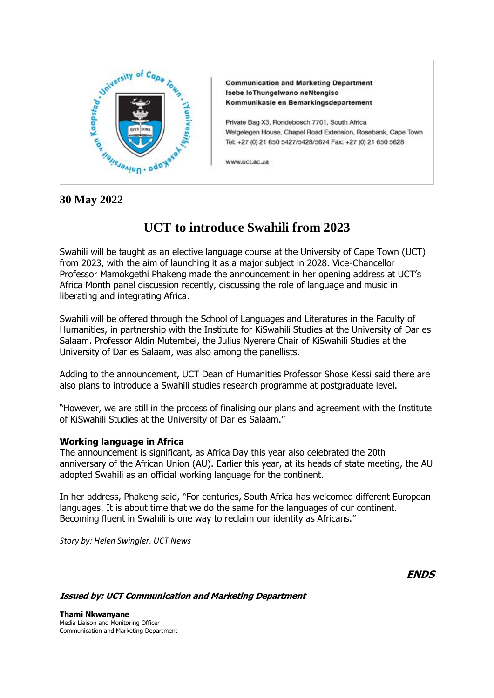

**Communication and Marketing Department** Isebe loThungelwano neNtengiso Kommunikasie en Bemarkingsdepartement

Private Bag X3, Rondebosch 7701, South Africa Welgelegen House, Chapel Road Extension, Rosebank, Cape Town Tel: +27 (0) 21 650 5427/5428/5674 Fax: +27 (0) 21 650 5628

www.uct.ac.za

## **30 May 2022**

## **UCT to introduce Swahili from 2023**

Swahili will be taught as an elective language course at the University of Cape Town (UCT) from 2023, with the aim of launching it as a major subject in 2028. Vice-Chancellor Professor Mamokgethi Phakeng made the announcement in her opening address at UCT's Africa Month panel discussion recently, discussing the role of language and music in liberating and integrating Africa.

Swahili will be offered through the School of Languages and Literatures in the Faculty of Humanities, in partnership with the Institute for KiSwahili Studies at the University of Dar es Salaam. Professor Aldin Mutembei, the Julius Nyerere Chair of KiSwahili Studies at the University of Dar es Salaam, was also among the panellists.

Adding to the announcement, UCT Dean of Humanities Professor Shose Kessi said there are also plans to introduce a Swahili studies research programme at postgraduate level.

"However, we are still in the process of finalising our plans and agreement with the Institute of KiSwahili Studies at the University of Dar es Salaam."

## **Working language in Africa**

The announcement is significant, as Africa Day this year also celebrated the 20th anniversary of the African Union (AU). Earlier this year, at its heads of state meeting, the AU adopted Swahili as an official working language for the continent.

In her address, Phakeng said, "For centuries, South Africa has welcomed different European languages. It is about time that we do the same for the languages of our continent. Becoming fluent in Swahili is one way to reclaim our identity as Africans."

*Story by: Helen Swingler, UCT News*

**ENDS**

**Issued by: UCT Communication and Marketing Department**

**Thami Nkwanyane** Media Liaison and Monitoring Officer Communication and Marketing Department